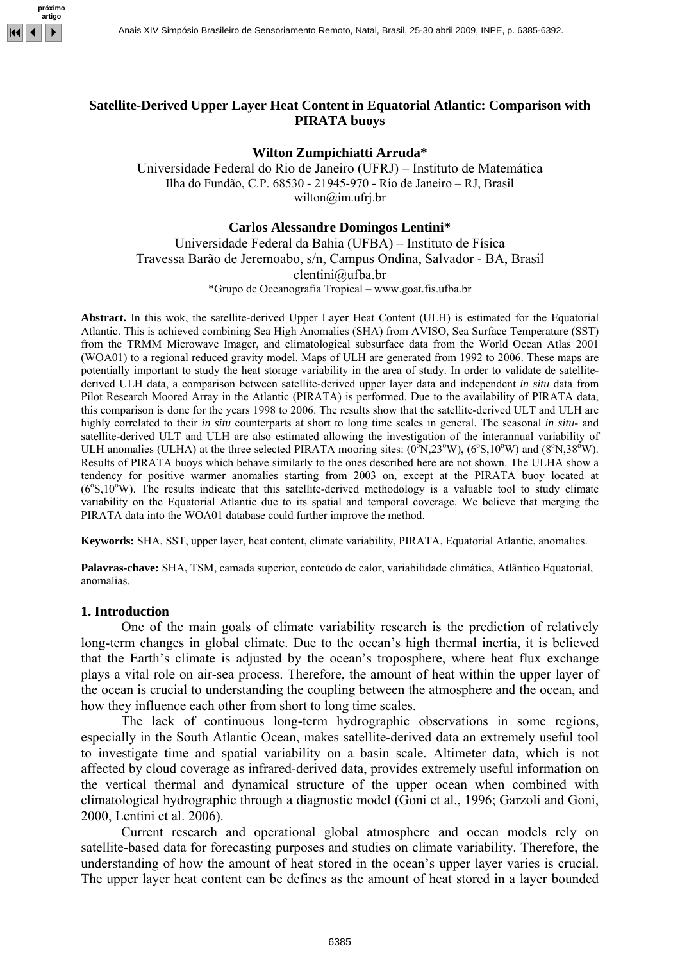

## **Satellite-Derived Upper Layer Heat Content in Equatorial Atlantic: Comparison with PIRATA buoys**

## **Wilton Zumpichiatti Arruda\***

Universidade Federal do Rio de Janeiro (UFRJ) – Instituto de Matemática Ilha do Fundão, C.P. 68530 - 21945-970 - Rio de Janeiro – RJ, Brasil wilton@im.ufrj.br

#### **Carlos Alessandre Domingos Lentini\***

Universidade Federal da Bahia (UFBA) – Instituto de Física Travessa Barão de Jeremoabo, s/n, Campus Ondina, Salvador - BA, Brasil clentini@ufba.br \*Grupo de Oceanografia Tropical – www.goat.fis.ufba.br

**Abstract.** In this wok, the satellite-derived Upper Layer Heat Content (ULH) is estimated for the Equatorial Atlantic. This is achieved combining Sea High Anomalies (SHA) from AVISO, Sea Surface Temperature (SST) from the TRMM Microwave Imager, and climatological subsurface data from the World Ocean Atlas 2001 (WOA01) to a regional reduced gravity model. Maps of ULH are generated from 1992 to 2006. These maps are potentially important to study the heat storage variability in the area of study. In order to validate de satellitederived ULH data, a comparison between satellite-derived upper layer data and independent *in situ* data from Pilot Research Moored Array in the Atlantic (PIRATA) is performed. Due to the availability of PIRATA data, this comparison is done for the years 1998 to 2006. The results show that the satellite-derived ULT and ULH are highly correlated to their *in situ* counterparts at short to long time scales in general. The seasonal *in situ*- and satellite-derived ULT and ULH are also estimated allowing the investigation of the interannual variability of ULH anomalies (ULHA) at the three selected PIRATA mooring sites:  $(0^{\circ}N, 23^{\circ}W)$ ,  $(6^{\circ}S, 10^{\circ}W)$  and  $(8^{\circ}N, 38^{\circ}W)$ . Results of PIRATA buoys which behave similarly to the ones described here are not shown. The ULHA show a tendency for positive warmer anomalies starting from 2003 on, except at the PIRATA buoy located at  $(6^{\circ}S,10^{\circ}W)$ . The results indicate that this satellite-derived methodology is a valuable tool to study climate variability on the Equatorial Atlantic due to its spatial and temporal coverage. We believe that merging the PIRATA data into the WOA01 database could further improve the method.

**Keywords:** SHA, SST, upper layer, heat content, climate variability, PIRATA, Equatorial Atlantic, anomalies.

**Palavras-chave:** SHA, TSM, camada superior, conteúdo de calor, variabilidade climática, Atlântico Equatorial, anomalias.

### **1. Introduction**

One of the main goals of climate variability research is the prediction of relatively long-term changes in global climate. Due to the ocean's high thermal inertia, it is believed that the Earth's climate is adjusted by the ocean's troposphere, where heat flux exchange plays a vital role on air-sea process. Therefore, the amount of heat within the upper layer of the ocean is crucial to understanding the coupling between the atmosphere and the ocean, and how they influence each other from short to long time scales.

The lack of continuous long-term hydrographic observations in some regions, especially in the South Atlantic Ocean, makes satellite-derived data an extremely useful tool to investigate time and spatial variability on a basin scale. Altimeter data, which is not affected by cloud coverage as infrared-derived data, provides extremely useful information on the vertical thermal and dynamical structure of the upper ocean when combined with climatological hydrographic through a diagnostic model (Goni et al., 1996; Garzoli and Goni, 2000, Lentini et al. 2006).

Current research and operational global atmosphere and ocean models rely on satellite-based data for forecasting purposes and studies on climate variability. Therefore, the understanding of how the amount of heat stored in the ocean's upper layer varies is crucial. The upper layer heat content can be defines as the amount of heat stored in a layer bounded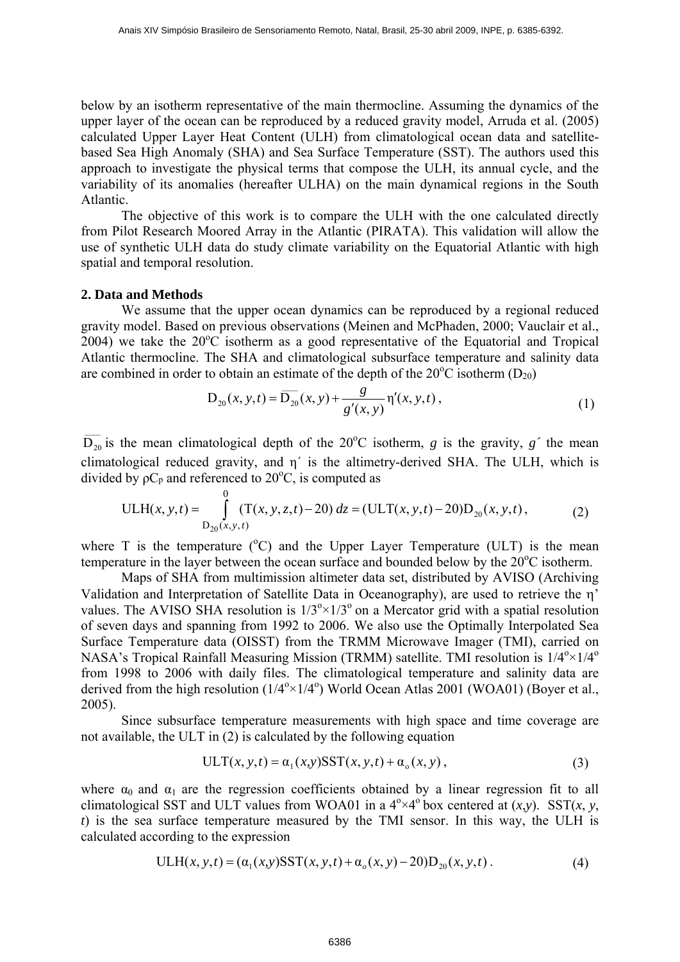below by an isotherm representative of the main thermocline. Assuming the dynamics of the upper layer of the ocean can be reproduced by a reduced gravity model, Arruda et al. (2005) calculated Upper Layer Heat Content (ULH) from climatological ocean data and satellitebased Sea High Anomaly (SHA) and Sea Surface Temperature (SST). The authors used this approach to investigate the physical terms that compose the ULH, its annual cycle, and the variability of its anomalies (hereafter ULHA) on the main dynamical regions in the South Atlantic.

The objective of this work is to compare the ULH with the one calculated directly from Pilot Research Moored Array in the Atlantic (PIRATA). This validation will allow the use of synthetic ULH data do study climate variability on the Equatorial Atlantic with high spatial and temporal resolution.

## **2. Data and Methods**

We assume that the upper ocean dynamics can be reproduced by a regional reduced gravity model. Based on previous observations (Meinen and McPhaden, 2000; Vauclair et al.,  $2004$ ) we take the  $20^{\circ}$ C isotherm as a good representative of the Equatorial and Tropical Atlantic thermocline. The SHA and climatological subsurface temperature and salinity data are combined in order to obtain an estimate of the depth of the  $20^{\circ}$ C isotherm (D<sub>20</sub>)

$$
D_{20}(x, y, t) = \overline{D_{20}}(x, y) + \frac{g}{g'(x, y)} \eta'(x, y, t),
$$
\n(1)

 $\overline{D_{20}}$  is the mean climatological depth of the 20<sup>o</sup>C isotherm, *g* is the gravity, *g*<sup> $\prime$ </sup> the mean climatological reduced gravity, and η´ is the altimetry-derived SHA. The ULH, which is divided by  $pC_p$  and referenced to 20 $^{\circ}$ C, is computed as

$$
ULH(x, y, t) = \int_{D_{20}}^{0} (T(x, y, z, t) - 20) dz = (ULT(x, y, t) - 20)D_{20}(x, y, t),
$$
 (2)

where  $T$  is the temperature ( $^{\circ}$ C) and the Upper Layer Temperature (ULT) is the mean temperature in the layer between the ocean surface and bounded below by the  $20^{\circ}$ C isotherm.

Maps of SHA from multimission altimeter data set, distributed by AVISO (Archiving Validation and Interpretation of Satellite Data in Oceanography), are used to retrieve the η' values. The AVISO SHA resolution is  $1/3^{\circ} \times 1/3^{\circ}$  on a Mercator grid with a spatial resolution of seven days and spanning from 1992 to 2006. We also use the Optimally Interpolated Sea Surface Temperature data (OISST) from the TRMM Microwave Imager (TMI), carried on NASA's Tropical Rainfall Measuring Mission (TRMM) satellite. TMI resolution is  $1/4^{\circ} \times 1/4^{\circ}$ from 1998 to 2006 with daily files. The climatological temperature and salinity data are derived from the high resolution  $(1/4^{\circ} \times 1/4^{\circ})$  World Ocean Atlas 2001 (WOA01) (Boyer et al., 2005).

Since subsurface temperature measurements with high space and time coverage are not available, the ULT in (2) is calculated by the following equation

$$
ULT(x, y, t) = \alpha_1(x, y) SST(x, y, t) + \alpha_0(x, y),
$$
\n(3)

where  $\alpha_0$  and  $\alpha_1$  are the regression coefficients obtained by a linear regression fit to all climatological SST and ULT values from WOA01 in a  $4^{\circ} \times 4^{\circ}$  box centered at  $(x, y)$ . SST $(x, y, z)$ *t*) is the sea surface temperature measured by the TMI sensor. In this way, the ULH is calculated according to the expression

$$
U LH(x, y, t) = (\alpha_1(x, y) SST(x, y, t) + \alpha_0(x, y) - 20)D_{20}(x, y, t).
$$
\n(4)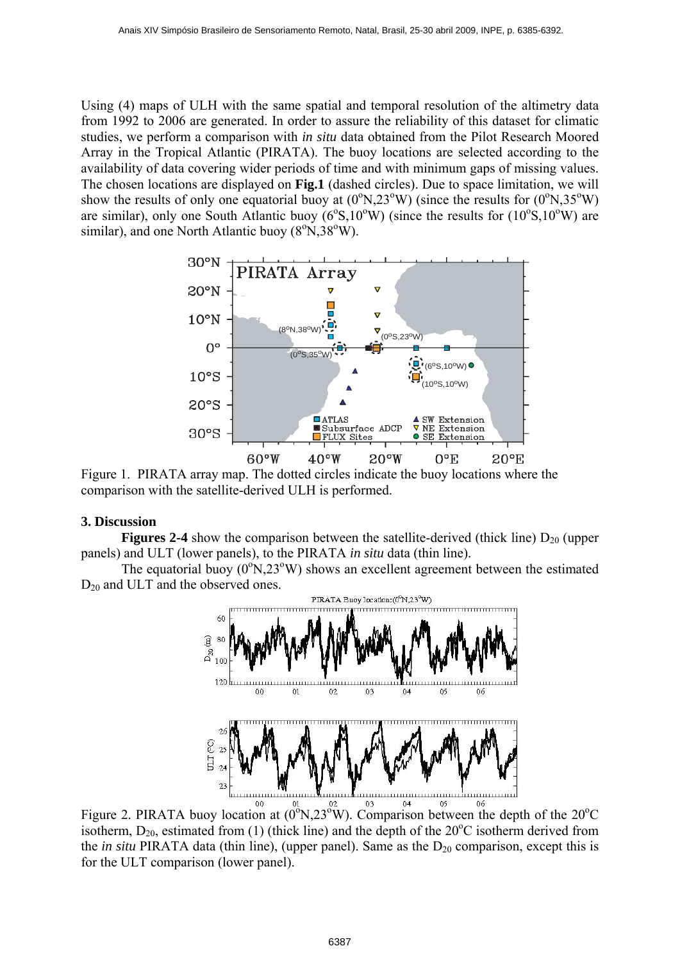Using (4) maps of ULH with the same spatial and temporal resolution of the altimetry data from 1992 to 2006 are generated. In order to assure the reliability of this dataset for climatic studies, we perform a comparison with *in situ* data obtained from the Pilot Research Moored Array in the Tropical Atlantic (PIRATA). The buoy locations are selected according to the availability of data covering wider periods of time and with minimum gaps of missing values. The chosen locations are displayed on **Fig.1** (dashed circles). Due to space limitation, we will show the results of only one equatorial buoy at  $(0^{\circ}N, 23^{\circ}W)$  (since the results for  $(0^{\circ}N, 35^{\circ}W)$ ) are similar), only one South Atlantic buoy  $(6^{\circ}S, 10^{\circ}W)$  (since the results for  $(10^{\circ}S, 10^{\circ}W)$  are similar), and one North Atlantic buoy  $(8^\circ N, 38^\circ W)$ .



Figure 1. PIRATA array map. The dotted circles indicate the buoy locations where the comparison with the satellite-derived ULH is performed.

# **3. Discussion**

**Figures 2-4** show the comparison between the satellite-derived (thick line)  $D_{20}$  (upper panels) and ULT (lower panels), to the PIRATA *in situ* data (thin line).

The equatorial buoy  $(0^{\circ}N, 23^{\circ}W)$  shows an excellent agreement between the estimated  $D_{20}$  and ULT and the observed ones.



Figure 2. PIRATA buoy location at  $(0^{\circ}N, 23^{\circ}W)$ . Comparison between the depth of the 20<sup>o</sup>C isotherm,  $D_{20}$ , estimated from (1) (thick line) and the depth of the  $20^{\circ}$ C isotherm derived from the *in situ* PIRATA data (thin line), (upper panel). Same as the  $D_{20}$  comparison, except this is for the ULT comparison (lower panel).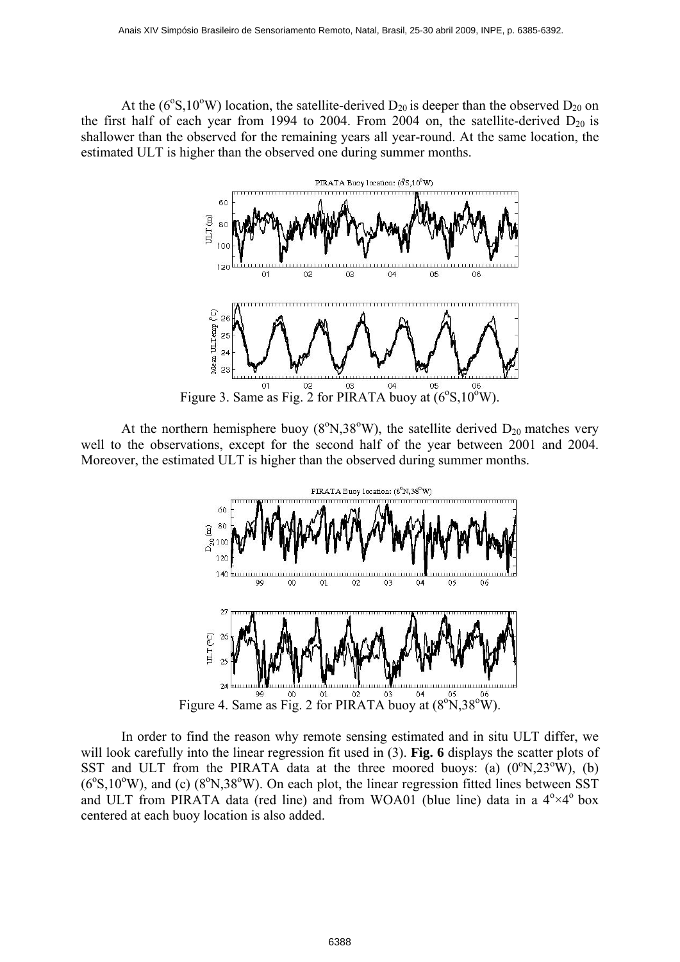At the ( $6^{\circ}S,10^{\circ}W$ ) location, the satellite-derived  $D_{20}$  is deeper than the observed  $D_{20}$  on the first half of each year from 1994 to 2004. From 2004 on, the satellite-derived  $D_{20}$  is shallower than the observed for the remaining years all year-round. At the same location, the estimated ULT is higher than the observed one during summer months.



At the northern hemisphere buoy ( $8^{\circ}N,38^{\circ}W$ ), the satellite derived  $D_{20}$  matches very well to the observations, except for the second half of the year between 2001 and 2004. Moreover, the estimated ULT is higher than the observed during summer months.



In order to find the reason why remote sensing estimated and in situ ULT differ, we will look carefully into the linear regression fit used in (3). **Fig. 6** displays the scatter plots of SST and ULT from the PIRATA data at the three moored buoys: (a)  $(0^{\circ}N,23^{\circ}W)$ , (b)  $(6^{\circ}S,10^{\circ}W)$ , and (c)  $(8^{\circ}N,38^{\circ}W)$ . On each plot, the linear regression fitted lines between SST and ULT from PIRATA data (red line) and from WOA01 (blue line) data in a  $4^{\circ} \times 4^{\circ}$  box centered at each buoy location is also added.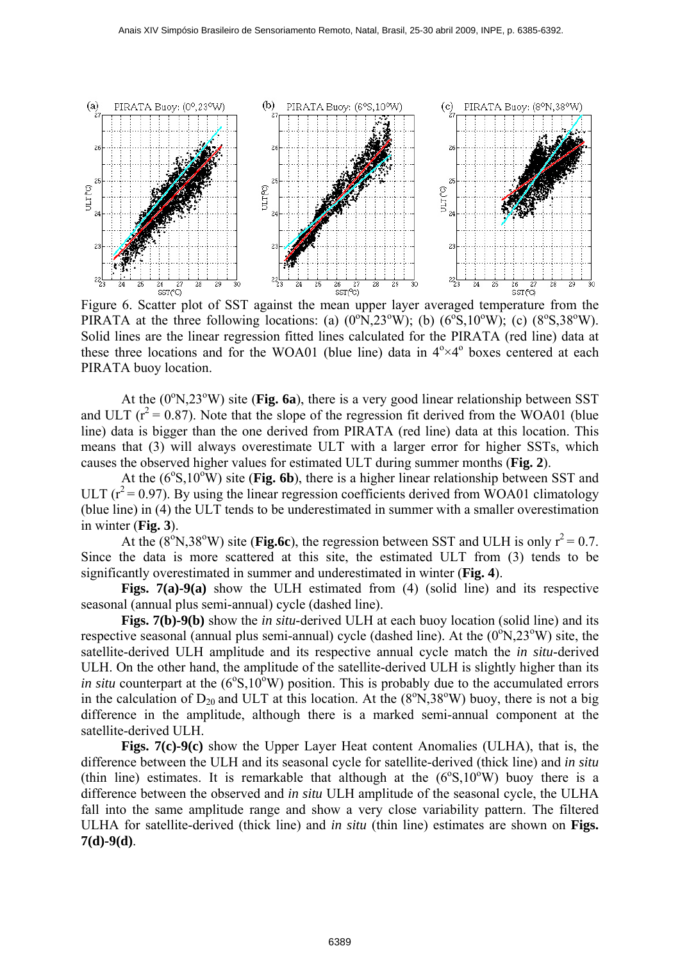

Figure 6. Scatter plot of SST against the mean upper layer averaged temperature from the PIRATA at the three following locations: (a)  $(0^{\circ}N,23^{\circ}W)$ ; (b)  $(6^{\circ}S,10^{\circ}W)$ ; (c)  $(8^{\circ}S,38^{\circ}W)$ . Solid lines are the linear regression fitted lines calculated for the PIRATA (red line) data at these three locations and for the WOA01 (blue line) data in  $4^{\circ} \times 4^{\circ}$  boxes centered at each PIRATA buoy location.

At the  $(0^{\circ}N, 23^{\circ}W)$  site (**Fig. 6a**), there is a very good linear relationship between SST and ULT ( $r^2$  = 0.87). Note that the slope of the regression fit derived from the WOA01 (blue line) data is bigger than the one derived from PIRATA (red line) data at this location. This means that (3) will always overestimate ULT with a larger error for higher SSTs, which causes the observed higher values for estimated ULT during summer months (**Fig. 2**).

At the  $(6^{\circ}S,10^{\circ}W)$  site (**Fig. 6b**), there is a higher linear relationship between SST and ULT  $(r^2 = 0.97)$ . By using the linear regression coefficients derived from WOA01 climatology (blue line) in (4) the ULT tends to be underestimated in summer with a smaller overestimation in winter (**Fig. 3**).

At the ( $8^\circ$ N,38°W) site (**Fig.6c**), the regression between SST and ULH is only  $r^2 = 0.7$ . Since the data is more scattered at this site, the estimated ULT from (3) tends to be significantly overestimated in summer and underestimated in winter (**Fig. 4**).

**Figs. 7(a)-9(a)** show the ULH estimated from (4) (solid line) and its respective seasonal (annual plus semi-annual) cycle (dashed line).

**Figs. 7(b)-9(b)** show the *in situ*-derived ULH at each buoy location (solid line) and its respective seasonal (annual plus semi-annual) cycle (dashed line). At the  $(0^{\circ}N, 23^{\circ}W)$  site, the satellite-derived ULH amplitude and its respective annual cycle match the *in situ*-derived ULH. On the other hand, the amplitude of the satellite-derived ULH is slightly higher than its *in situ* counterpart at the  $(6^{\circ}S,10^{\circ}W)$  position. This is probably due to the accumulated errors in the calculation of  $D_{20}$  and ULT at this location. At the (8°N,38°W) buoy, there is not a big difference in the amplitude, although there is a marked semi-annual component at the satellite-derived ULH.

**Figs. 7(c)-9(c)** show the Upper Layer Heat content Anomalies (ULHA), that is, the difference between the ULH and its seasonal cycle for satellite-derived (thick line) and *in situ* (thin line) estimates. It is remarkable that although at the  $(6^{\circ}S,10^{\circ}W)$  buoy there is a difference between the observed and *in situ* ULH amplitude of the seasonal cycle, the ULHA fall into the same amplitude range and show a very close variability pattern. The filtered ULHA for satellite-derived (thick line) and *in situ* (thin line) estimates are shown on **Figs. 7(d)-9(d)**.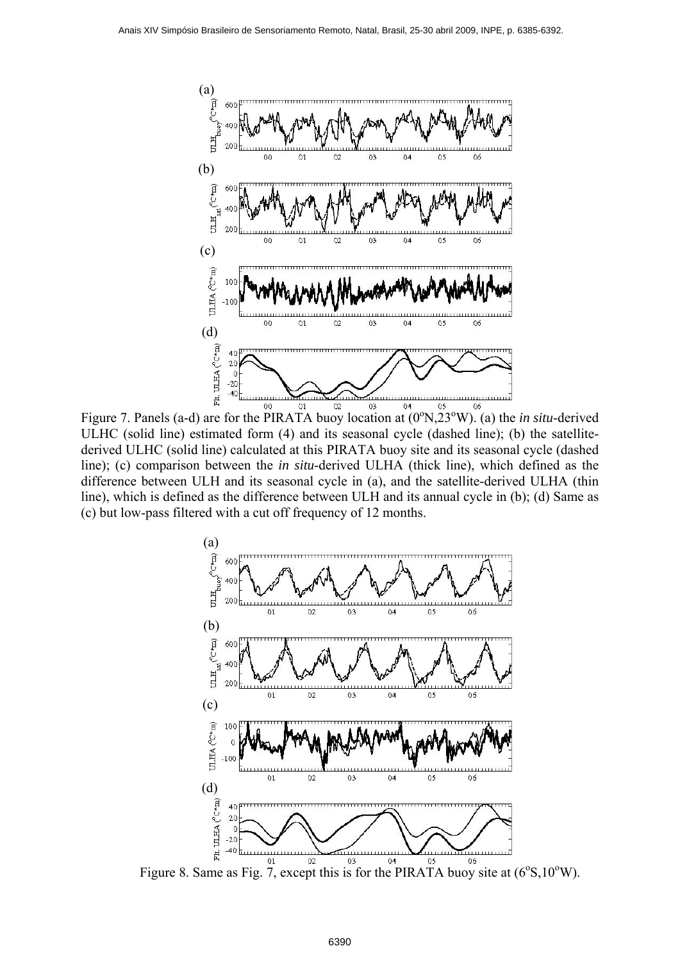

Figure 7. Panels (a-d) are for the PIRATA buoy location at  $(0^{\circ}N, 23^{\circ}W)$ . (a) the *in situ*-derived ULHC (solid line) estimated form (4) and its seasonal cycle (dashed line); (b) the satellitederived ULHC (solid line) calculated at this PIRATA buoy site and its seasonal cycle (dashed line); (c) comparison between the *in situ*-derived ULHA (thick line), which defined as the difference between ULH and its seasonal cycle in (a), and the satellite-derived ULHA (thin line), which is defined as the difference between ULH and its annual cycle in (b); (d) Same as (c) but low-pass filtered with a cut off frequency of 12 months.



Figure 8. Same as Fig. 7, except this is for the PIRATA buoy site at  $(6^{\circ}S, 10^{\circ}W)$ .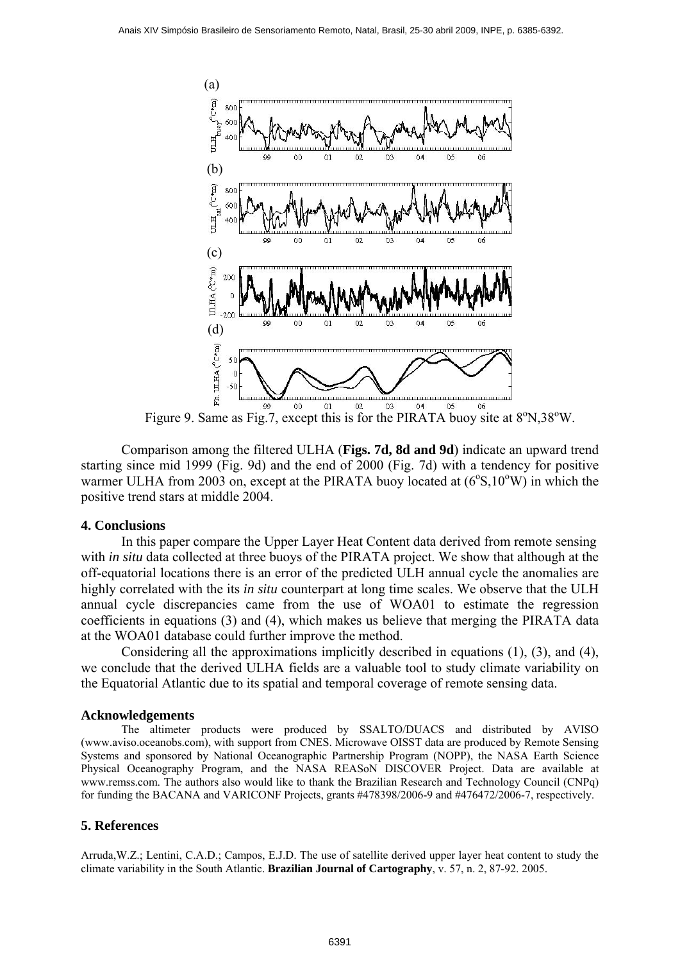

Figure 9. Same as Fig.7, except this is for the PIRATA buoy site at  $8^{\circ}N,38^{\circ}W$ .

Comparison among the filtered ULHA (**Figs. 7d, 8d and 9d**) indicate an upward trend starting since mid 1999 (Fig. 9d) and the end of 2000 (Fig. 7d) with a tendency for positive warmer ULHA from 2003 on, except at the PIRATA buoy located at  $(6^{\circ}S, 10^{\circ}W)$  in which the positive trend stars at middle 2004.

#### **4. Conclusions**

In this paper compare the Upper Layer Heat Content data derived from remote sensing with *in situ* data collected at three buoys of the PIRATA project. We show that although at the off-equatorial locations there is an error of the predicted ULH annual cycle the anomalies are highly correlated with the its *in situ* counterpart at long time scales. We observe that the ULH annual cycle discrepancies came from the use of WOA01 to estimate the regression coefficients in equations (3) and (4), which makes us believe that merging the PIRATA data at the WOA01 database could further improve the method.

Considering all the approximations implicitly described in equations (1), (3), and (4), we conclude that the derived ULHA fields are a valuable tool to study climate variability on the Equatorial Atlantic due to its spatial and temporal coverage of remote sensing data.

#### **Acknowledgements**

The altimeter products were produced by SSALTO/DUACS and distributed by AVISO (www.aviso.oceanobs.com), with support from CNES. Microwave OISST data are produced by Remote Sensing Systems and sponsored by National Oceanographic Partnership Program (NOPP), the NASA Earth Science Physical Oceanography Program, and the NASA REASoN DISCOVER Project. Data are available at www.remss.com. The authors also would like to thank the Brazilian Research and Technology Council (CNPq) for funding the BACANA and VARICONF Projects, grants #478398/2006-9 and #476472/2006-7, respectively.

## **5. References**

Arruda,W.Z.; Lentini, C.A.D.; Campos, E.J.D. The use of satellite derived upper layer heat content to study the climate variability in the South Atlantic. **Brazilian Journal of Cartography**, v. 57, n. 2, 87-92. 2005.